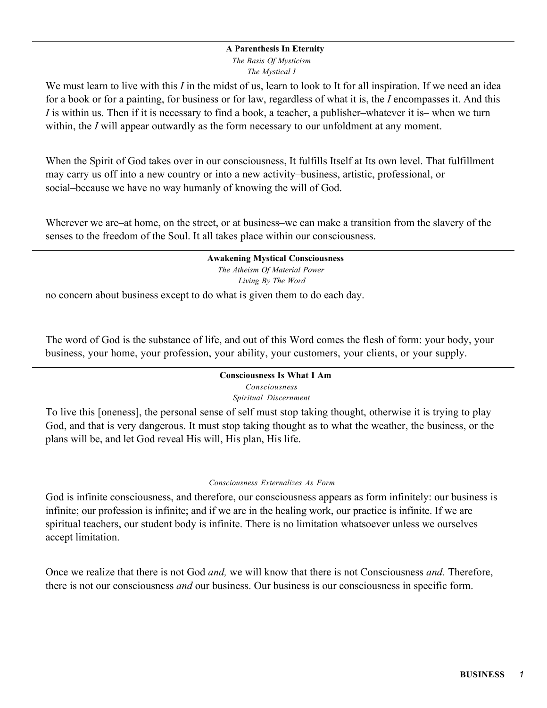#### **A Parenthesis In Eternity**

*The Basis Of Mysticism The Mystical I*

We must learn to live with this *I* in the midst of us, learn to look to It for all inspiration. If we need an idea for a book or for a painting, for business or for law, regardless of what it is, the *I* encompasses it. And this *I* is within us. Then if it is necessary to find a book, a teacher, a publisher–whatever it is– when we turn within, the *I* will appear outwardly as the form necessary to our unfoldment at any moment.

When the Spirit of God takes over in our consciousness, It fulfills Itself at Its own level. That fulfillment may carry us off into a new country or into a new activity–business, artistic, professional, or social–because we have no way humanly of knowing the will of God.

Wherever we are–at home, on the street, or at business–we can make a transition from the slavery of the senses to the freedom of the Soul. It all takes place within our consciousness.

#### **Awakening Mystical Consciousness**

*The Atheism Of Material Power Living By The Word*

no concern about business except to do what is given them to do each day.

The word of God is the substance of life, and out of this Word comes the flesh of form: your body, your business, your home, your profession, your ability, your customers, your clients, or your supply.

# **Consciousness Is What I Am** *Consciousness*

*Spiritual Discernment*

To live this [oneness], the personal sense of self must stop taking thought, otherwise it is trying to play God, and that is very dangerous. It must stop taking thought as to what the weather, the business, or the plans will be, and let God reveal His will, His plan, His life.

#### *Consciousness Externalizes As Form*

God is infinite consciousness, and therefore, our consciousness appears as form infinitely: our business is infinite; our profession is infinite; and if we are in the healing work, our practice is infinite. If we are spiritual teachers, our student body is infinite. There is no limitation whatsoever unless we ourselves accept limitation.

Once we realize that there is not God *and,* we will know that there is not Consciousness *and.* Therefore, there is not our consciousness *and* our business. Our business is our consciousness in specific form.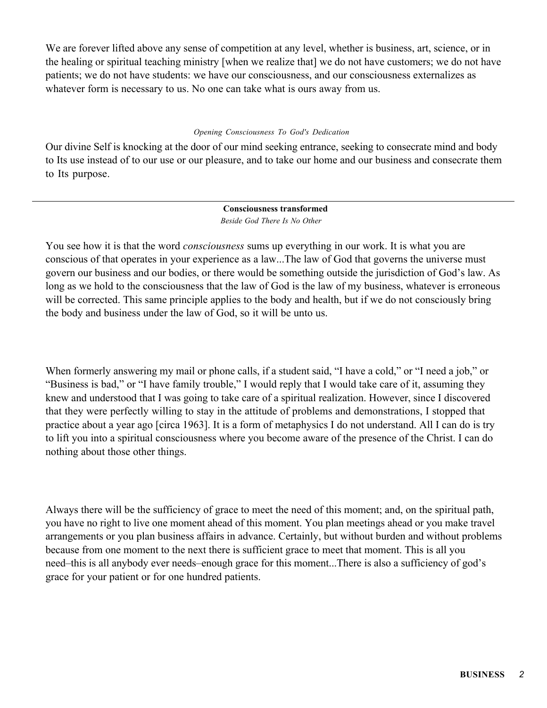We are forever lifted above any sense of competition at any level, whether is business, art, science, or in the healing or spiritual teaching ministry [when we realize that] we do not have customers; we do not have patients; we do not have students: we have our consciousness, and our consciousness externalizes as whatever form is necessary to us. No one can take what is ours away from us.

#### *Opening Consciousness To God's Dedication*

Our divine Self is knocking at the door of our mind seeking entrance, seeking to consecrate mind and body to Its use instead of to our use or our pleasure, and to take our home and our business and consecrate them to Its purpose.

> **Consciousness transformed** *Beside God There Is No Other*

You see how it is that the word *consciousness* sums up everything in our work. It is what you are conscious of that operates in your experience as a law...The law of God that governs the universe must govern our business and our bodies, or there would be something outside the jurisdiction of God's law. As long as we hold to the consciousness that the law of God is the law of my business, whatever is erroneous will be corrected. This same principle applies to the body and health, but if we do not consciously bring the body and business under the law of God, so it will be unto us.

When formerly answering my mail or phone calls, if a student said, "I have a cold," or "I need a job," or "Business is bad," or "I have family trouble," I would reply that I would take care of it, assuming they knew and understood that I was going to take care of a spiritual realization. However, since I discovered that they were perfectly willing to stay in the attitude of problems and demonstrations, I stopped that practice about a year ago [circa 1963]. It is a form of metaphysics I do not understand. All I can do is try to lift you into a spiritual consciousness where you become aware of the presence of the Christ. I can do nothing about those other things.

Always there will be the sufficiency of grace to meet the need of this moment; and, on the spiritual path, you have no right to live one moment ahead of this moment. You plan meetings ahead or you make travel arrangements or you plan business affairs in advance. Certainly, but without burden and without problems because from one moment to the next there is sufficient grace to meet that moment. This is all you need–this is all anybody ever needs–enough grace for this moment...There is also a sufficiency of god's grace for your patient or for one hundred patients.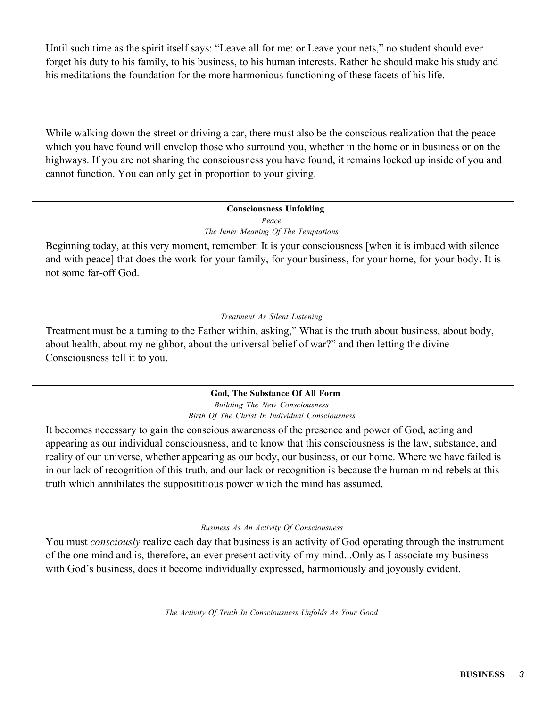Until such time as the spirit itself says: "Leave all for me: or Leave your nets," no student should ever forget his duty to his family, to his business, to his human interests. Rather he should make his study and his meditations the foundation for the more harmonious functioning of these facets of his life.

While walking down the street or driving a car, there must also be the conscious realization that the peace which you have found will envelop those who surround you, whether in the home or in business or on the highways. If you are not sharing the consciousness you have found, it remains locked up inside of you and cannot function. You can only get in proportion to your giving.

#### **Consciousness Unfolding** *Peace The Inner Meaning Of The Temptations*

Beginning today, at this very moment, remember: It is your consciousness [when it is imbued with silence and with peace] that does the work for your family, for your business, for your home, for your body. It is not some far-off God.

## *Treatment As Silent Listening*

Treatment must be a turning to the Father within, asking," What is the truth about business, about body, about health, about my neighbor, about the universal belief of war?" and then letting the divine Consciousness tell it to you.

# **God, The Substance Of All Form**

*Building The New Consciousness Birth Of The Christ In Individual Consciousness*

It becomes necessary to gain the conscious awareness of the presence and power of God, acting and appearing as our individual consciousness, and to know that this consciousness is the law, substance, and reality of our universe, whether appearing as our body, our business, or our home. Where we have failed is in our lack of recognition of this truth, and our lack or recognition is because the human mind rebels at this truth which annihilates the supposititious power which the mind has assumed.

## *Business As An Activity Of Consciousness*

You must *consciously* realize each day that business is an activity of God operating through the instrument of the one mind and is, therefore, an ever present activity of my mind...Only as I associate my business with God's business, does it become individually expressed, harmoniously and joyously evident.

*The Activity Of Truth In Consciousness Unfolds As Your Good*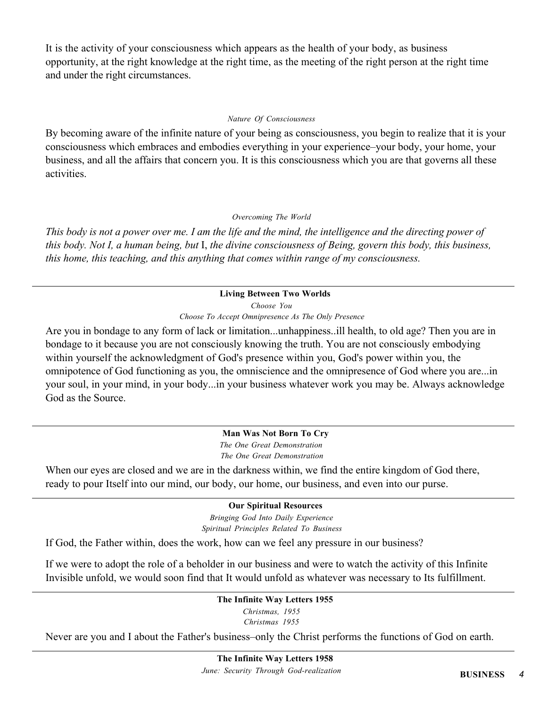It is the activity of your consciousness which appears as the health of your body, as business opportunity, at the right knowledge at the right time, as the meeting of the right person at the right time and under the right circumstances.

#### *Nature Of Consciousness*

By becoming aware of the infinite nature of your being as consciousness, you begin to realize that it is your consciousness which embraces and embodies everything in your experience–your body, your home, your business, and all the affairs that concern you. It is this consciousness which you are that governs all these activities.

## *Overcoming The World*

*This body is not a power over me. I am the life and the mind, the intelligence and the directing power of this body. Not I, a human being, but* I, *the divine consciousness of Being, govern this body, this business, this home, this teaching, and this anything that comes within range of my consciousness.*

## **Living Between Two Worlds**

*Choose You*

*Choose To Accept Omnipresence As The Only Presence*

Are you in bondage to any form of lack or limitation...unhappiness..ill health, to old age? Then you are in bondage to it because you are not consciously knowing the truth. You are not consciously embodying within yourself the acknowledgment of God's presence within you, God's power within you, the omnipotence of God functioning as you, the omniscience and the omnipresence of God where you are...in your soul, in your mind, in your body...in your business whatever work you may be. Always acknowledge God as the Source.

## **Man Was Not Born To Cry**

*The One Great Demonstration The One Great Demonstration*

When our eyes are closed and we are in the darkness within, we find the entire kingdom of God there, ready to pour Itself into our mind, our body, our home, our business, and even into our purse.

## **Our Spiritual Resources**

*Bringing God Into Daily Experience Spiritual Principles Related To Business*

If God, the Father within, does the work, how can we feel any pressure in our business?

If we were to adopt the role of a beholder in our business and were to watch the activity of this Infinite Invisible unfold, we would soon find that It would unfold as whatever was necessary to Its fulfillment.

# **The Infinite Way Letters 1955**

*Christmas, 1955 Christmas 1955*

Never are you and I about the Father's business–only the Christ performs the functions of God on earth.